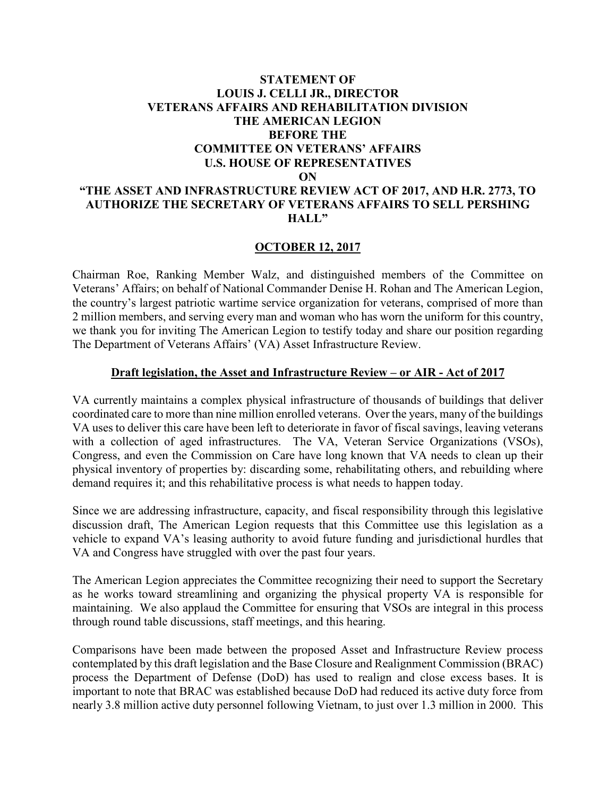## **STATEMENT OF LOUIS J. CELLI JR., DIRECTOR VETERANS AFFAIRS AND REHABILITATION DIVISION THE AMERICAN LEGION BEFORE THE COMMITTEE ON VETERANS' AFFAIRS U.S. HOUSE OF REPRESENTATIVES ON "THE ASSET AND INFRASTRUCTURE REVIEW ACT OF 2017, AND H.R. 2773, TO AUTHORIZE THE SECRETARY OF VETERANS AFFAIRS TO SELL PERSHING HALL"**

#### **OCTOBER 12, 2017**

Chairman Roe, Ranking Member Walz, and distinguished members of the Committee on Veterans' Affairs; on behalf of National Commander Denise H. Rohan and The American Legion, the country's largest patriotic wartime service organization for veterans, comprised of more than 2 million members, and serving every man and woman who has worn the uniform for this country, we thank you for inviting The American Legion to testify today and share our position regarding The Department of Veterans Affairs' (VA) Asset Infrastructure Review.

#### **Draft legislation, the Asset and Infrastructure Review – or AIR - Act of 2017**

VA currently maintains a complex physical infrastructure of thousands of buildings that deliver coordinated care to more than nine million enrolled veterans. Over the years, many of the buildings VA uses to deliver this care have been left to deteriorate in favor of fiscal savings, leaving veterans with a collection of aged infrastructures. The VA, Veteran Service Organizations (VSOs), Congress, and even the Commission on Care have long known that VA needs to clean up their physical inventory of properties by: discarding some, rehabilitating others, and rebuilding where demand requires it; and this rehabilitative process is what needs to happen today.

Since we are addressing infrastructure, capacity, and fiscal responsibility through this legislative discussion draft, The American Legion requests that this Committee use this legislation as a vehicle to expand VA's leasing authority to avoid future funding and jurisdictional hurdles that VA and Congress have struggled with over the past four years.

The American Legion appreciates the Committee recognizing their need to support the Secretary as he works toward streamlining and organizing the physical property VA is responsible for maintaining. We also applaud the Committee for ensuring that VSOs are integral in this process through round table discussions, staff meetings, and this hearing.

Comparisons have been made between the proposed Asset and Infrastructure Review process contemplated by this draft legislation and the Base Closure and Realignment Commission (BRAC) process the Department of Defense (DoD) has used to realign and close excess bases. It is important to note that BRAC was established because DoD had reduced its active duty force from nearly 3.8 million active duty personnel following Vietnam, to just over 1.3 million in 2000. This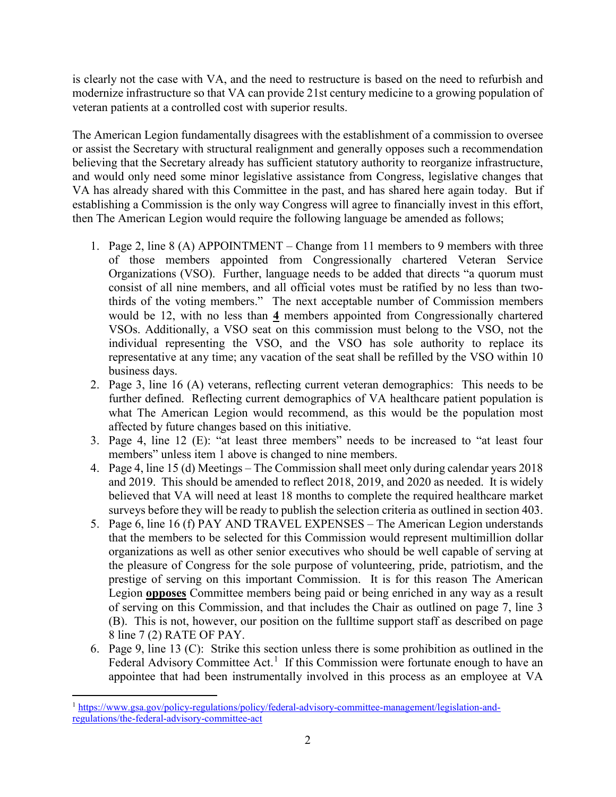is clearly not the case with VA, and the need to restructure is based on the need to refurbish and modernize infrastructure so that VA can provide 21st century medicine to a growing population of veteran patients at a controlled cost with superior results.

The American Legion fundamentally disagrees with the establishment of a commission to oversee or assist the Secretary with structural realignment and generally opposes such a recommendation believing that the Secretary already has sufficient statutory authority to reorganize infrastructure, and would only need some minor legislative assistance from Congress, legislative changes that VA has already shared with this Committee in the past, and has shared here again today. But if establishing a Commission is the only way Congress will agree to financially invest in this effort, then The American Legion would require the following language be amended as follows;

- 1. Page 2, line 8 (A) APPOINTMENT Change from 11 members to 9 members with three of those members appointed from Congressionally chartered Veteran Service Organizations (VSO). Further, language needs to be added that directs "a quorum must consist of all nine members, and all official votes must be ratified by no less than twothirds of the voting members." The next acceptable number of Commission members would be 12, with no less than **4** members appointed from Congressionally chartered VSOs. Additionally, a VSO seat on this commission must belong to the VSO, not the individual representing the VSO, and the VSO has sole authority to replace its representative at any time; any vacation of the seat shall be refilled by the VSO within 10 business days.
- 2. Page 3, line 16 (A) veterans, reflecting current veteran demographics: This needs to be further defined. Reflecting current demographics of VA healthcare patient population is what The American Legion would recommend, as this would be the population most affected by future changes based on this initiative.
- 3. Page 4, line 12 (E): "at least three members" needs to be increased to "at least four members" unless item 1 above is changed to nine members.
- 4. Page 4, line 15 (d) Meetings The Commission shall meet only during calendar years 2018 and 2019. This should be amended to reflect 2018, 2019, and 2020 as needed. It is widely believed that VA will need at least 18 months to complete the required healthcare market surveys before they will be ready to publish the selection criteria as outlined in section 403.
- 5. Page 6, line 16 (f) PAY AND TRAVEL EXPENSES The American Legion understands that the members to be selected for this Commission would represent multimillion dollar organizations as well as other senior executives who should be well capable of serving at the pleasure of Congress for the sole purpose of volunteering, pride, patriotism, and the prestige of serving on this important Commission. It is for this reason The American Legion **opposes** Committee members being paid or being enriched in any way as a result of serving on this Commission, and that includes the Chair as outlined on page 7, line 3 (B). This is not, however, our position on the fulltime support staff as described on page 8 line 7 (2) RATE OF PAY.
- 6. Page 9, line 13 (C): Strike this section unless there is some prohibition as outlined in the Federal Advisory Committee Act.<sup>[1](#page-1-0)</sup> If this Commission were fortunate enough to have an appointee that had been instrumentally involved in this process as an employee at VA

<span id="page-1-0"></span> $\overline{a}$ <sup>1</sup> [https://www.gsa.gov/policy-regulations/policy/federal-advisory-committee-management/legislation-and](https://www.gsa.gov/policy-regulations/policy/federal-advisory-committee-management/legislation-and-regulations/the-federal-advisory-committee-act)[regulations/the-federal-advisory-committee-act](https://www.gsa.gov/policy-regulations/policy/federal-advisory-committee-management/legislation-and-regulations/the-federal-advisory-committee-act)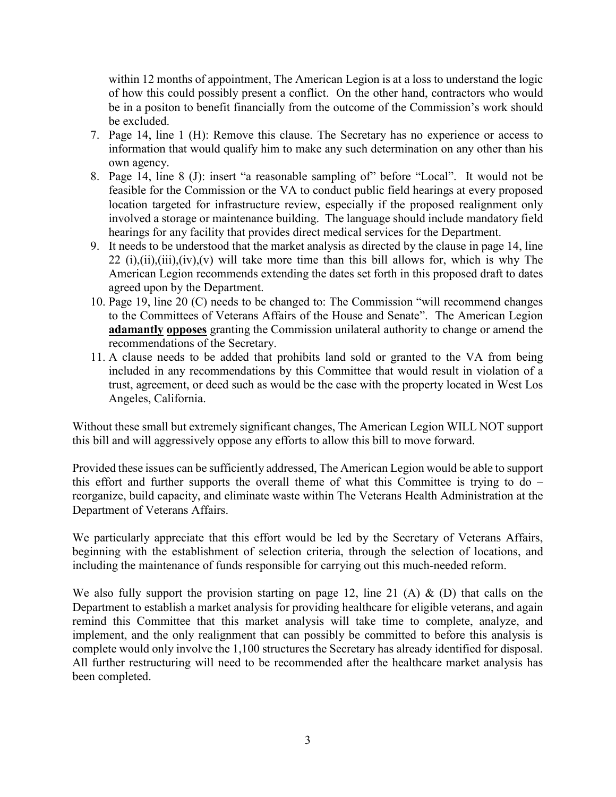within 12 months of appointment, The American Legion is at a loss to understand the logic of how this could possibly present a conflict. On the other hand, contractors who would be in a positon to benefit financially from the outcome of the Commission's work should be excluded.

- 7. Page 14, line 1 (H): Remove this clause. The Secretary has no experience or access to information that would qualify him to make any such determination on any other than his own agency.
- 8. Page 14, line 8 (J): insert "a reasonable sampling of" before "Local". It would not be feasible for the Commission or the VA to conduct public field hearings at every proposed location targeted for infrastructure review, especially if the proposed realignment only involved a storage or maintenance building. The language should include mandatory field hearings for any facility that provides direct medical services for the Department.
- 9. It needs to be understood that the market analysis as directed by the clause in page 14, line 22 (i),(ii),(iii),(iv),(v) will take more time than this bill allows for, which is why The American Legion recommends extending the dates set forth in this proposed draft to dates agreed upon by the Department.
- 10. Page 19, line 20 (C) needs to be changed to: The Commission "will recommend changes to the Committees of Veterans Affairs of the House and Senate". The American Legion **adamantly opposes** granting the Commission unilateral authority to change or amend the recommendations of the Secretary.
- 11. A clause needs to be added that prohibits land sold or granted to the VA from being included in any recommendations by this Committee that would result in violation of a trust, agreement, or deed such as would be the case with the property located in West Los Angeles, California.

Without these small but extremely significant changes, The American Legion WILL NOT support this bill and will aggressively oppose any efforts to allow this bill to move forward.

Provided these issues can be sufficiently addressed, The American Legion would be able to support this effort and further supports the overall theme of what this Committee is trying to  $d\sigma$  – reorganize, build capacity, and eliminate waste within The Veterans Health Administration at the Department of Veterans Affairs.

We particularly appreciate that this effort would be led by the Secretary of Veterans Affairs, beginning with the establishment of selection criteria, through the selection of locations, and including the maintenance of funds responsible for carrying out this much-needed reform.

We also fully support the provision starting on page 12, line 21 (A)  $\&$  (D) that calls on the Department to establish a market analysis for providing healthcare for eligible veterans, and again remind this Committee that this market analysis will take time to complete, analyze, and implement, and the only realignment that can possibly be committed to before this analysis is complete would only involve the 1,100 structures the Secretary has already identified for disposal. All further restructuring will need to be recommended after the healthcare market analysis has been completed.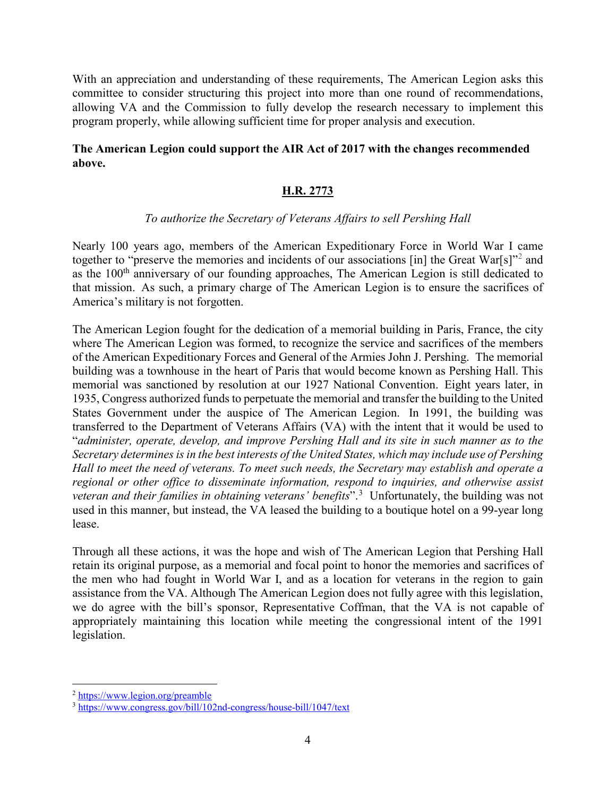With an appreciation and understanding of these requirements, The American Legion asks this committee to consider structuring this project into more than one round of recommendations, allowing VA and the Commission to fully develop the research necessary to implement this program properly, while allowing sufficient time for proper analysis and execution.

## **The American Legion could support the AIR Act of 2017 with the changes recommended above.**

## **H.R. 2773**

### *To authorize the Secretary of Veterans Affairs to sell Pershing Hall*

Nearly 100 years ago, members of the American Expeditionary Force in World War I came together to "preserve the memories and incidents of our associations [in] the Great War[s]"<sup>[2](#page-3-0)</sup> and as the 100<sup>th</sup> anniversary of our founding approaches, The American Legion is still dedicated to that mission. As such, a primary charge of The American Legion is to ensure the sacrifices of America's military is not forgotten.

The American Legion fought for the dedication of a memorial building in Paris, France, the city where The American Legion was formed, to recognize the service and sacrifices of the members of the American Expeditionary Forces and General of the Armies John J. Pershing. The memorial building was a townhouse in the heart of Paris that would become known as Pershing Hall. This memorial was sanctioned by resolution at our 1927 National Convention. Eight years later, in 1935, Congress authorized funds to perpetuate the memorial and transfer the building to the United States Government under the auspice of The American Legion. In 1991, the building was transferred to the Department of Veterans Affairs (VA) with the intent that it would be used to "*administer, operate, develop, and improve Pershing Hall and its site in such manner as to the Secretary determines is in the best interests of the United States, which may include use of Pershing Hall to meet the need of veterans. To meet such needs, the Secretary may establish and operate a regional or other office to disseminate information, respond to inquiries, and otherwise assist veteran and their families in obtaining veterans' benefits*".[3](#page-3-1) Unfortunately, the building was not used in this manner, but instead, the VA leased the building to a boutique hotel on a 99-year long lease.

Through all these actions, it was the hope and wish of The American Legion that Pershing Hall retain its original purpose, as a memorial and focal point to honor the memories and sacrifices of the men who had fought in World War I, and as a location for veterans in the region to gain assistance from the VA. Although The American Legion does not fully agree with this legislation, we do agree with the bill's sponsor, Representative Coffman, that the VA is not capable of appropriately maintaining this location while meeting the congressional intent of the 1991 legislation.

 $\overline{a}$ 

<span id="page-3-1"></span><span id="page-3-0"></span> $\frac{2 \text{ https://www.legion.org/preamble}}{3 \text{ https://www.congress.gov/bill/102nd-congress/house-bill/1047/text}$  $\frac{2 \text{ https://www.legion.org/preamble}}{3 \text{ https://www.congress.gov/bill/102nd-congress/house-bill/1047/text}$  $\frac{2 \text{ https://www.legion.org/preamble}}{3 \text{ https://www.congress.gov/bill/102nd-congress/house-bill/1047/text}$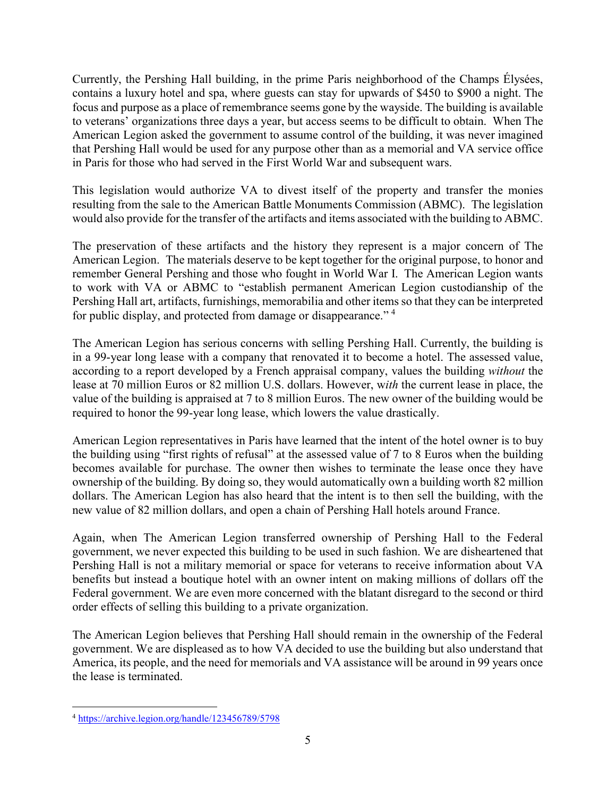Currently, the Pershing Hall building, in the prime Paris neighborhood of the Champs Élysées, contains a luxury hotel and spa, where guests can stay for upwards of \$450 to \$900 a night. The focus and purpose as a place of remembrance seems gone by the wayside. The building is available to veterans' organizations three days a year, but access seems to be difficult to obtain. When The American Legion asked the government to assume control of the building, it was never imagined that Pershing Hall would be used for any purpose other than as a memorial and VA service office in Paris for those who had served in the First World War and subsequent wars.

This legislation would authorize VA to divest itself of the property and transfer the monies resulting from the sale to the American Battle Monuments Commission (ABMC). The legislation would also provide for the transfer of the artifacts and items associated with the building to ABMC.

The preservation of these artifacts and the history they represent is a major concern of The American Legion. The materials deserve to be kept together for the original purpose, to honor and remember General Pershing and those who fought in World War I. The American Legion wants to work with VA or ABMC to "establish permanent American Legion custodianship of the Pershing Hall art, artifacts, furnishings, memorabilia and other items so that they can be interpreted for public display, and protected from damage or disappearance."<sup>[4](#page-4-0)</sup>

The American Legion has serious concerns with selling Pershing Hall. Currently, the building is in a 99-year long lease with a company that renovated it to become a hotel. The assessed value, according to a report developed by a French appraisal company, values the building *without* the lease at 70 million Euros or 82 million U.S. dollars. However, w*ith* the current lease in place, the value of the building is appraised at 7 to 8 million Euros. The new owner of the building would be required to honor the 99-year long lease, which lowers the value drastically.

American Legion representatives in Paris have learned that the intent of the hotel owner is to buy the building using "first rights of refusal" at the assessed value of 7 to 8 Euros when the building becomes available for purchase. The owner then wishes to terminate the lease once they have ownership of the building. By doing so, they would automatically own a building worth 82 million dollars. The American Legion has also heard that the intent is to then sell the building, with the new value of 82 million dollars, and open a chain of Pershing Hall hotels around France.

Again, when The American Legion transferred ownership of Pershing Hall to the Federal government, we never expected this building to be used in such fashion. We are disheartened that Pershing Hall is not a military memorial or space for veterans to receive information about VA benefits but instead a boutique hotel with an owner intent on making millions of dollars off the Federal government. We are even more concerned with the blatant disregard to the second or third order effects of selling this building to a private organization.

The American Legion believes that Pershing Hall should remain in the ownership of the Federal government. We are displeased as to how VA decided to use the building but also understand that America, its people, and the need for memorials and VA assistance will be around in 99 years once the lease is terminated.

<span id="page-4-0"></span> $\overline{a}$ <sup>4</sup> <https://archive.legion.org/handle/123456789/5798>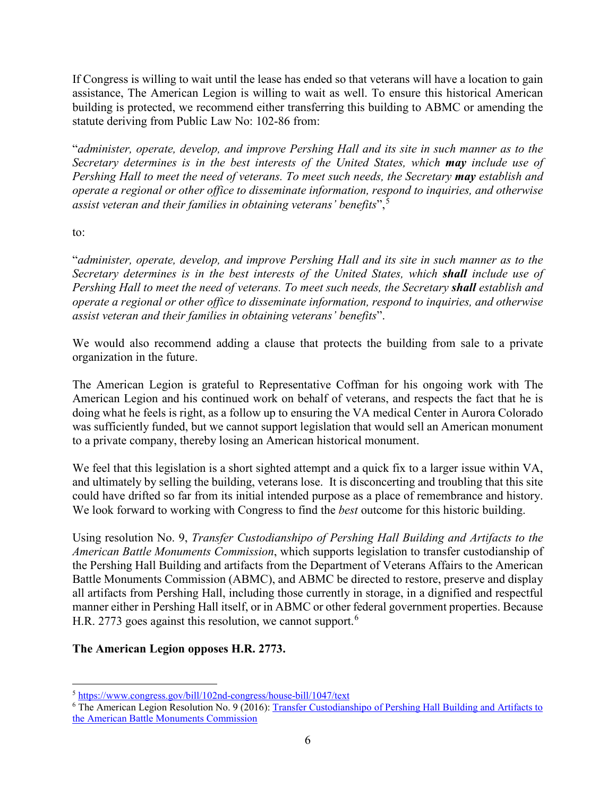If Congress is willing to wait until the lease has ended so that veterans will have a location to gain assistance, The American Legion is willing to wait as well. To ensure this historical American building is protected, we recommend either transferring this building to ABMC or amending the statute deriving from Public Law No: 102-86 from:

"*administer, operate, develop, and improve Pershing Hall and its site in such manner as to the Secretary determines is in the best interests of the United States, which may include use of Pershing Hall to meet the need of veterans. To meet such needs, the Secretary may establish and operate a regional or other office to disseminate information, respond to inquiries, and otherwise assist veteran and their families in obtaining veterans' benefits*",[5](#page-5-0)

to:

"*administer, operate, develop, and improve Pershing Hall and its site in such manner as to the Secretary determines is in the best interests of the United States, which shall include use of Pershing Hall to meet the need of veterans. To meet such needs, the Secretary <i>shall* establish and *operate a regional or other office to disseminate information, respond to inquiries, and otherwise assist veteran and their families in obtaining veterans' benefits*".

We would also recommend adding a clause that protects the building from sale to a private organization in the future.

The American Legion is grateful to Representative Coffman for his ongoing work with The American Legion and his continued work on behalf of veterans, and respects the fact that he is doing what he feels is right, as a follow up to ensuring the VA medical Center in Aurora Colorado was sufficiently funded, but we cannot support legislation that would sell an American monument to a private company, thereby losing an American historical monument.

We feel that this legislation is a short sighted attempt and a quick fix to a larger issue within VA, and ultimately by selling the building, veterans lose. It is disconcerting and troubling that this site could have drifted so far from its initial intended purpose as a place of remembrance and history. We look forward to working with Congress to find the *best* outcome for this historic building.

Using resolution No. 9, *Transfer Custodianshipo of Pershing Hall Building and Artifacts to the American Battle Monuments Commission*, which supports legislation to transfer custodianship of the Pershing Hall Building and artifacts from the Department of Veterans Affairs to the American Battle Monuments Commission (ABMC), and ABMC be directed to restore, preserve and display all artifacts from Pershing Hall, including those currently in storage, in a dignified and respectful manner either in Pershing Hall itself, or in ABMC or other federal government properties. Because H.R. 2773 goes against this resolution, we cannot support.<sup>[6](#page-5-1)</sup>

# **The American Legion opposes H.R. 2773.**

 $\overline{a}$ <sup>5</sup> <https://www.congress.gov/bill/102nd-congress/house-bill/1047/text>

<span id="page-5-1"></span><span id="page-5-0"></span><sup>6</sup> The American Legion Resolution No. 9 (2016): [Transfer Custodianshipo of Pershing Hall Building and Artifacts to](https://archive.legion.org/bitstream/handle/123456789/5798/2016F009.pdf?sequence=1&isAllowed=y)  [the American Battle Monuments Commission](https://archive.legion.org/bitstream/handle/123456789/5798/2016F009.pdf?sequence=1&isAllowed=y)